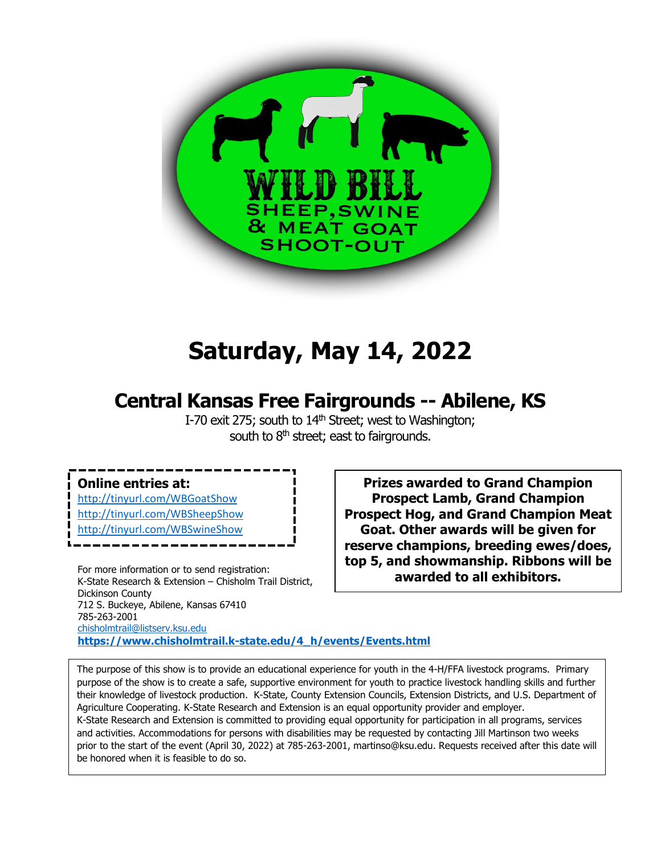

# **Saturday, May 14, 2022**

## **Central Kansas Free Fairgrounds -- Abilene, KS**

I-70 exit 275; south to  $14<sup>th</sup>$  Street; west to Washington; south to  $8<sup>th</sup>$  street; east to fairgrounds.

## **Online entries at:**

<http://tinyurl.com/WBGoatShow> <http://tinyurl.com/WBSheepShow> [http://tinyurl.com/WBSwineShow](http://tinyurl.com/2017WBswineshow)

For more information or to send registration: K-State Research & Extension – Chisholm Trail District, Dickinson County 712 S. Buckeye, Abilene, Kansas 67410 785-263-2001 [chisholmtrail@listserv.ksu.edu](mailto:chisholmtrail@listserv.ksu.edu) **[https://www.chisholmtrail.k-state.edu/4\\_h/events/Events.html](https://www.chisholmtrail.k-state.edu/4_h/events/Events.html)**

**Prizes awarded to Grand Champion Prospect Lamb, Grand Champion Prospect Hog, and Grand Champion Meat Goat. Other awards will be given for reserve champions, breeding ewes/does, top 5, and showmanship. Ribbons will be awarded to all exhibitors.**

The purpose of this show is to provide an educational experience for youth in the 4-H/FFA livestock programs. Primary purpose of the show is to create a safe, supportive environment for youth to practice livestock handling skills and further their knowledge of livestock production. K-State, County Extension Councils, Extension Districts, and U.S. Department of Agriculture Cooperating. K-State Research and Extension is an equal opportunity provider and employer. K-State Research and Extension is committed to providing equal opportunity for participation in all programs, services and activities. Accommodations for persons with disabilities may be requested by contacting Jill Martinson two weeks prior to the start of the event (April 30, 2022) at 785-263-2001, martinso@ksu.edu. Requests received after this date will be honored when it is feasible to do so.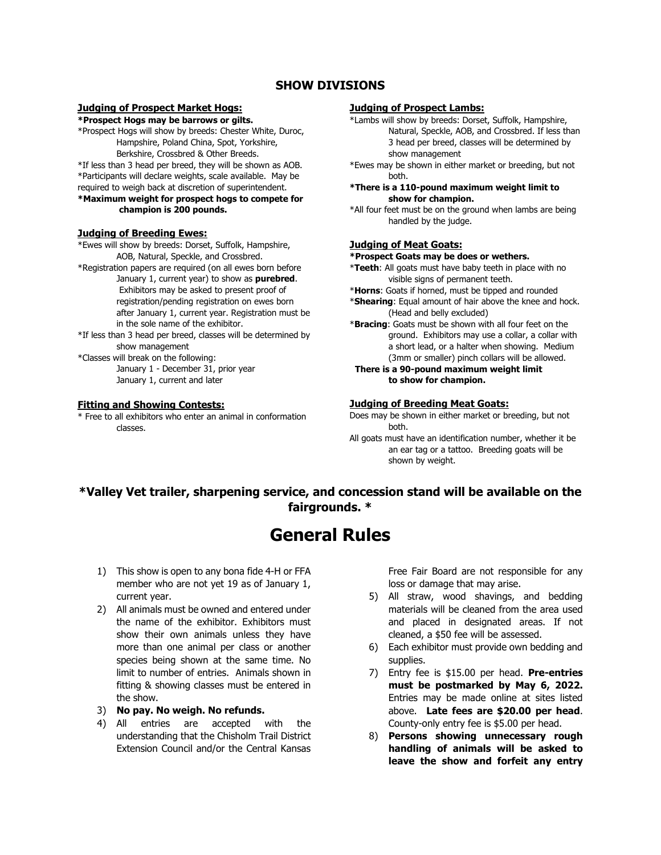### **SHOW DIVISIONS**

#### **Judging of Prospect Market Hogs:**

**\*Prospect Hogs may be barrows or gilts.**

\*Prospect Hogs will show by breeds: Chester White, Duroc, Hampshire, Poland China, Spot, Yorkshire, Berkshire, Crossbred & Other Breeds.

\*If less than 3 head per breed, they will be shown as AOB. \*Participants will declare weights, scale available. May be required to weigh back at discretion of superintendent. **\*Maximum weight for prospect hogs to compete for**

### **champion is 200 pounds.**

#### **Judging of Breeding Ewes:**

\*Ewes will show by breeds: Dorset, Suffolk, Hampshire, AOB, Natural, Speckle, and Crossbred.

\*Registration papers are required (on all ewes born before January 1, current year) to show as **purebred**. Exhibitors may be asked to present proof of registration/pending registration on ewes born after January 1, current year. Registration must be in the sole name of the exhibitor.

\*If less than 3 head per breed, classes will be determined by show management

\*Classes will break on the following: January 1 - December 31, prior year January 1, current and later

#### **Fitting and Showing Contests:**

\* Free to all exhibitors who enter an animal in conformation classes.

#### **Judging of Prospect Lambs:**

\*Lambs will show by breeds: Dorset, Suffolk, Hampshire, Natural, Speckle, AOB, and Crossbred. If less than 3 head per breed, classes will be determined by show management

\*Ewes may be shown in either market or breeding, but not both.

**\*There is a 110-pound maximum weight limit to show for champion.**

\*All four feet must be on the ground when lambs are being handled by the judge.

#### **Judging of Meat Goats:**

#### **\*Prospect Goats may be does or wethers.**

- \***Teeth**: All goats must have baby teeth in place with no visible signs of permanent teeth.
- \***Horns**: Goats if horned, must be tipped and rounded
- \***Shearing**: Equal amount of hair above the knee and hock. (Head and belly excluded)

\***Bracing**: Goats must be shown with all four feet on the ground. Exhibitors may use a collar, a collar with a short lead, or a halter when showing. Medium (3mm or smaller) pinch collars will be allowed.

 **There is a 90-pound maximum weight limit to show for champion.**

#### **Judging of Breeding Meat Goats:**

- Does may be shown in either market or breeding, but not both.
- All goats must have an identification number, whether it be an ear tag or a tattoo. Breeding goats will be shown by weight.

## **\*Valley Vet trailer, sharpening service, and concession stand will be available on the fairgrounds. \***

## **General Rules**

- 1) This show is open to any bona fide 4-H or FFA member who are not yet 19 as of January 1, current year.
- 2) All animals must be owned and entered under the name of the exhibitor. Exhibitors must show their own animals unless they have more than one animal per class or another species being shown at the same time. No limit to number of entries. Animals shown in fitting & showing classes must be entered in the show.
- 3) **No pay. No weigh. No refunds.**
- 4) All entries are accepted with the understanding that the Chisholm Trail District Extension Council and/or the Central Kansas

Free Fair Board are not responsible for any loss or damage that may arise.

- 5) All straw, wood shavings, and bedding materials will be cleaned from the area used and placed in designated areas. If not cleaned, a \$50 fee will be assessed.
- 6) Each exhibitor must provide own bedding and supplies.
- 7) Entry fee is \$15.00 per head. **Pre-entries must be postmarked by May 6, 2022.**  Entries may be made online at sites listed above. **Late fees are \$20.00 per head**. County-only entry fee is \$5.00 per head.
- 8) **Persons showing unnecessary rough handling of animals will be asked to leave the show and forfeit any entry**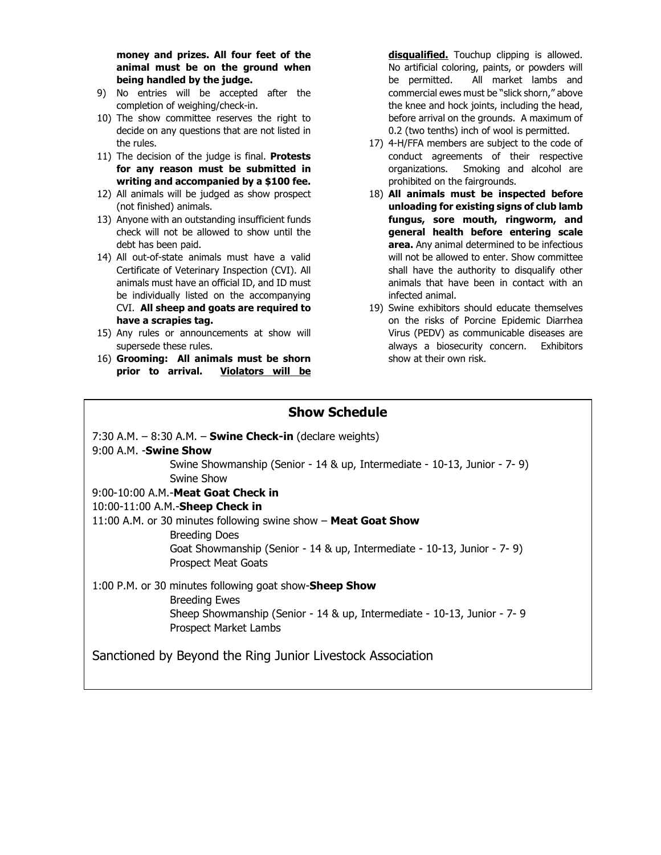**money and prizes. All four feet of the animal must be on the ground when being handled by the judge.** 

- 9) No entries will be accepted after the completion of weighing/check-in.
- 10) The show committee reserves the right to decide on any questions that are not listed in the rules.
- 11) The decision of the judge is final. **Protests for any reason must be submitted in writing and accompanied by a \$100 fee.**
- 12) All animals will be judged as show prospect (not finished) animals.
- 13) Anyone with an outstanding insufficient funds check will not be allowed to show until the debt has been paid.
- 14) All out-of-state animals must have a valid Certificate of Veterinary Inspection (CVI). All animals must have an official ID, and ID must be individually listed on the accompanying CVI. **All sheep and goats are required to have a scrapies tag.**
- 15) Any rules or announcements at show will supersede these rules.
- 16) **Grooming: All animals must be shorn prior to arrival. Violators will be**

**disqualified.** Touchup clipping is allowed. No artificial coloring, paints, or powders will be permitted. All market lambs and commercial ewes must be "slick shorn," above the knee and hock joints, including the head, before arrival on the grounds. A maximum of 0.2 (two tenths) inch of wool is permitted.

- 17) 4-H/FFA members are subject to the code of conduct agreements of their respective organizations. Smoking and alcohol are prohibited on the fairgrounds.
- 18) **All animals must be inspected before unloading for existing signs of club lamb fungus, sore mouth, ringworm, and general health before entering scale area.** Any animal determined to be infectious will not be allowed to enter. Show committee shall have the authority to disqualify other animals that have been in contact with an infected animal.
- 19) Swine exhibitors should educate themselves on the risks of Porcine Epidemic Diarrhea Virus (PEDV) as communicable diseases are always a biosecurity concern. Exhibitors show at their own risk.

## **Show Schedule**

7:30 A.M. – 8:30 A.M. – **Swine Check-in** (declare weights) 9:00 A.M. -**Swine Show** Swine Showmanship (Senior - 14 & up, Intermediate - 10-13, Junior - 7- 9) Swine Show 9:00-10:00 A.M.-**Meat Goat Check in** 10:00-11:00 A.M.-**Sheep Check in**  11:00 A.M. or 30 minutes following swine show – **Meat Goat Show** Breeding Does Goat Showmanship (Senior - 14 & up, Intermediate - 10-13, Junior - 7- 9) Prospect Meat Goats 1:00 P.M. or 30 minutes following goat show-**Sheep Show** Breeding Ewes Sheep Showmanship (Senior - 14 & up, Intermediate - 10-13, Junior - 7- 9 Prospect Market Lambs Sanctioned by Beyond the Ring Junior Livestock Association